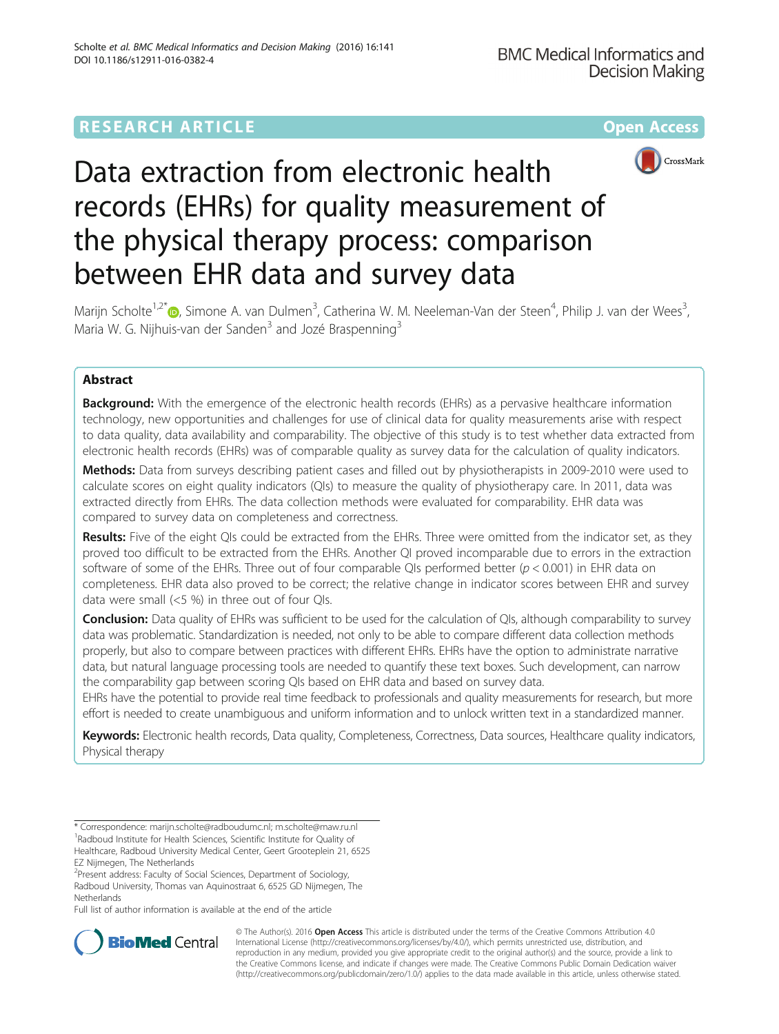## **RESEARCH ARTICLE Example 2014 12:30 The Contract of Contract Article 2014**



# Data extraction from electronic health records (EHRs) for quality measurement of the physical therapy process: comparison between EHR data and survey data

Marijn Scholte<sup>1,2[\\*](http://orcid.org/0000-0001-8655-6680)</sup> D, Simone A. van Dulmen<sup>3</sup>, Catherina W. M. Neeleman-Van der Steen<sup>4</sup>, Philip J. van der Wees<sup>3</sup> , Maria W. G. Nijhuis-van der Sanden<sup>3</sup> and Jozé Braspenning<sup>3</sup>

## Abstract

**Background:** With the emergence of the electronic health records (EHRs) as a pervasive healthcare information technology, new opportunities and challenges for use of clinical data for quality measurements arise with respect to data quality, data availability and comparability. The objective of this study is to test whether data extracted from electronic health records (EHRs) was of comparable quality as survey data for the calculation of quality indicators.

Methods: Data from surveys describing patient cases and filled out by physiotherapists in 2009-2010 were used to calculate scores on eight quality indicators (QIs) to measure the quality of physiotherapy care. In 2011, data was extracted directly from EHRs. The data collection methods were evaluated for comparability. EHR data was compared to survey data on completeness and correctness.

Results: Five of the eight QIs could be extracted from the EHRs. Three were omitted from the indicator set, as they proved too difficult to be extracted from the EHRs. Another QI proved incomparable due to errors in the extraction software of some of the EHRs. Three out of four comparable QIs performed better ( $p < 0.001$ ) in EHR data on completeness. EHR data also proved to be correct; the relative change in indicator scores between EHR and survey data were small (<5 %) in three out of four QIs.

Conclusion: Data quality of EHRs was sufficient to be used for the calculation of QIs, although comparability to survey data was problematic. Standardization is needed, not only to be able to compare different data collection methods properly, but also to compare between practices with different EHRs. EHRs have the option to administrate narrative data, but natural language processing tools are needed to quantify these text boxes. Such development, can narrow the comparability gap between scoring QIs based on EHR data and based on survey data.

EHRs have the potential to provide real time feedback to professionals and quality measurements for research, but more effort is needed to create unambiguous and uniform information and to unlock written text in a standardized manner.

Keywords: Electronic health records, Data quality, Completeness, Correctness, Data sources, Healthcare quality indicators, Physical therapy

<sup>2</sup> Present address: Faculty of Social Sciences, Department of Sociology, Radboud University, Thomas van Aquinostraat 6, 6525 GD Nijmegen, The Netherlands

Full list of author information is available at the end of the article



© The Author(s). 2016 Open Access This article is distributed under the terms of the Creative Commons Attribution 4.0 International License [\(http://creativecommons.org/licenses/by/4.0/](http://creativecommons.org/licenses/by/4.0/)), which permits unrestricted use, distribution, and reproduction in any medium, provided you give appropriate credit to the original author(s) and the source, provide a link to the Creative Commons license, and indicate if changes were made. The Creative Commons Public Domain Dedication waiver [\(http://creativecommons.org/publicdomain/zero/1.0/](http://creativecommons.org/publicdomain/zero/1.0/)) applies to the data made available in this article, unless otherwise stated.

<sup>\*</sup> Correspondence: [marijn.scholte@radboudumc.nl](mailto:marijn.scholte@radboudumc.nl); [m.scholte@maw.ru.nl](mailto:m.scholte@maw.ru.nl) <sup>1</sup> <sup>1</sup>Radboud Institute for Health Sciences, Scientific Institute for Quality of Healthcare, Radboud University Medical Center, Geert Grooteplein 21, 6525 EZ Nijmegen, The Netherlands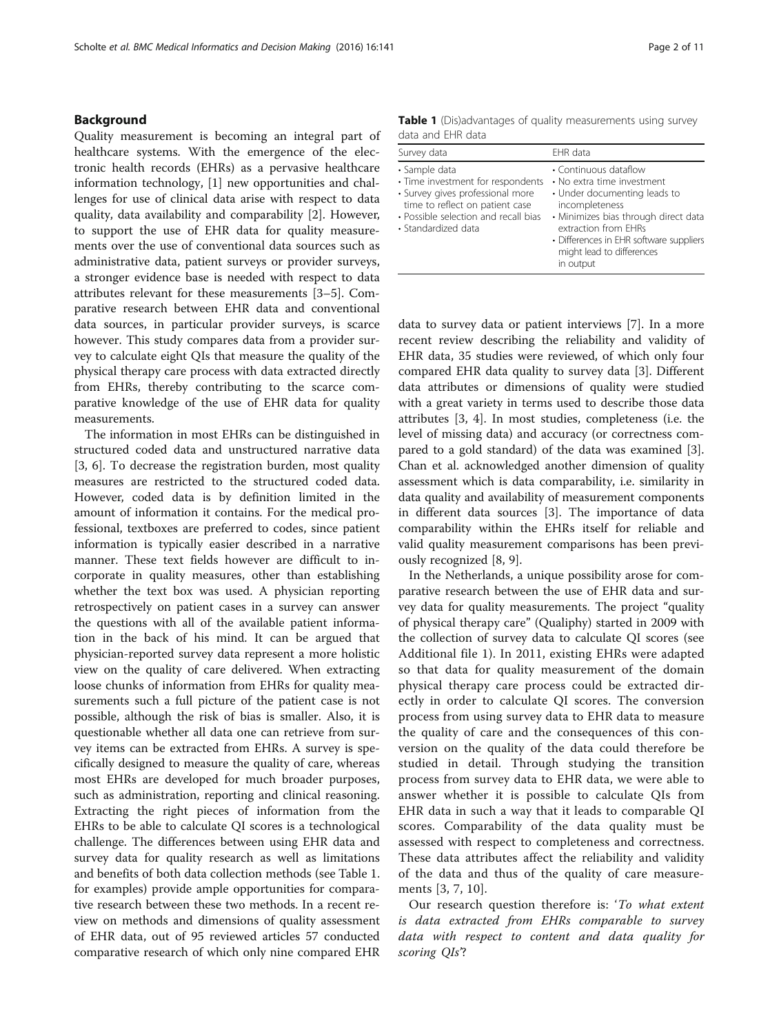## Background

Quality measurement is becoming an integral part of healthcare systems. With the emergence of the electronic health records (EHRs) as a pervasive healthcare information technology, [\[1\]](#page-9-0) new opportunities and challenges for use of clinical data arise with respect to data quality, data availability and comparability [[2\]](#page-9-0). However, to support the use of EHR data for quality measurements over the use of conventional data sources such as administrative data, patient surveys or provider surveys, a stronger evidence base is needed with respect to data attributes relevant for these measurements [\[3](#page-9-0)–[5\]](#page-10-0). Comparative research between EHR data and conventional data sources, in particular provider surveys, is scarce however. This study compares data from a provider survey to calculate eight QIs that measure the quality of the physical therapy care process with data extracted directly from EHRs, thereby contributing to the scarce comparative knowledge of the use of EHR data for quality measurements.

The information in most EHRs can be distinguished in structured coded data and unstructured narrative data [[3,](#page-9-0) [6](#page-10-0)]. To decrease the registration burden, most quality measures are restricted to the structured coded data. However, coded data is by definition limited in the amount of information it contains. For the medical professional, textboxes are preferred to codes, since patient information is typically easier described in a narrative manner. These text fields however are difficult to incorporate in quality measures, other than establishing whether the text box was used. A physician reporting retrospectively on patient cases in a survey can answer the questions with all of the available patient information in the back of his mind. It can be argued that physician-reported survey data represent a more holistic view on the quality of care delivered. When extracting loose chunks of information from EHRs for quality measurements such a full picture of the patient case is not possible, although the risk of bias is smaller. Also, it is questionable whether all data one can retrieve from survey items can be extracted from EHRs. A survey is specifically designed to measure the quality of care, whereas most EHRs are developed for much broader purposes, such as administration, reporting and clinical reasoning. Extracting the right pieces of information from the EHRs to be able to calculate QI scores is a technological challenge. The differences between using EHR data and survey data for quality research as well as limitations and benefits of both data collection methods (see Table 1. for examples) provide ample opportunities for comparative research between these two methods. In a recent review on methods and dimensions of quality assessment of EHR data, out of 95 reviewed articles 57 conducted comparative research of which only nine compared EHR

| Survey data                                                                                                                                                                              | EHR data                                                                                                                                                                                                                                                   |
|------------------------------------------------------------------------------------------------------------------------------------------------------------------------------------------|------------------------------------------------------------------------------------------------------------------------------------------------------------------------------------------------------------------------------------------------------------|
| · Sample data<br>• Time investment for respondents<br>· Survey gives professional more<br>time to reflect on patient case<br>• Possible selection and recall bias<br>• Standardized data | • Continuous dataflow<br>• No extra time investment<br>• Under documenting leads to<br>incompleteness<br>· Minimizes bias through direct data<br>extraction from EHRs<br>• Differences in EHR software suppliers<br>might lead to differences<br>in output |

data to survey data or patient interviews [\[7](#page-10-0)]. In a more recent review describing the reliability and validity of EHR data, 35 studies were reviewed, of which only four compared EHR data quality to survey data [\[3](#page-9-0)]. Different data attributes or dimensions of quality were studied with a great variety in terms used to describe those data attributes [[3, 4\]](#page-9-0). In most studies, completeness (i.e. the level of missing data) and accuracy (or correctness compared to a gold standard) of the data was examined [\[3](#page-9-0)]. Chan et al. acknowledged another dimension of quality assessment which is data comparability, i.e. similarity in data quality and availability of measurement components in different data sources [\[3](#page-9-0)]. The importance of data comparability within the EHRs itself for reliable and valid quality measurement comparisons has been previously recognized [\[8](#page-10-0), [9](#page-10-0)].

In the Netherlands, a unique possibility arose for comparative research between the use of EHR data and survey data for quality measurements. The project "quality of physical therapy care" (Qualiphy) started in 2009 with the collection of survey data to calculate QI scores (see Additional file [1\)](#page-9-0). In 2011, existing EHRs were adapted so that data for quality measurement of the domain physical therapy care process could be extracted directly in order to calculate QI scores. The conversion process from using survey data to EHR data to measure the quality of care and the consequences of this conversion on the quality of the data could therefore be studied in detail. Through studying the transition process from survey data to EHR data, we were able to answer whether it is possible to calculate QIs from EHR data in such a way that it leads to comparable QI scores. Comparability of the data quality must be assessed with respect to completeness and correctness. These data attributes affect the reliability and validity of the data and thus of the quality of care measurements [[3,](#page-9-0) [7, 10](#page-10-0)].

Our research question therefore is: 'To what extent is data extracted from EHRs comparable to survey data with respect to content and data quality for scoring QIs'?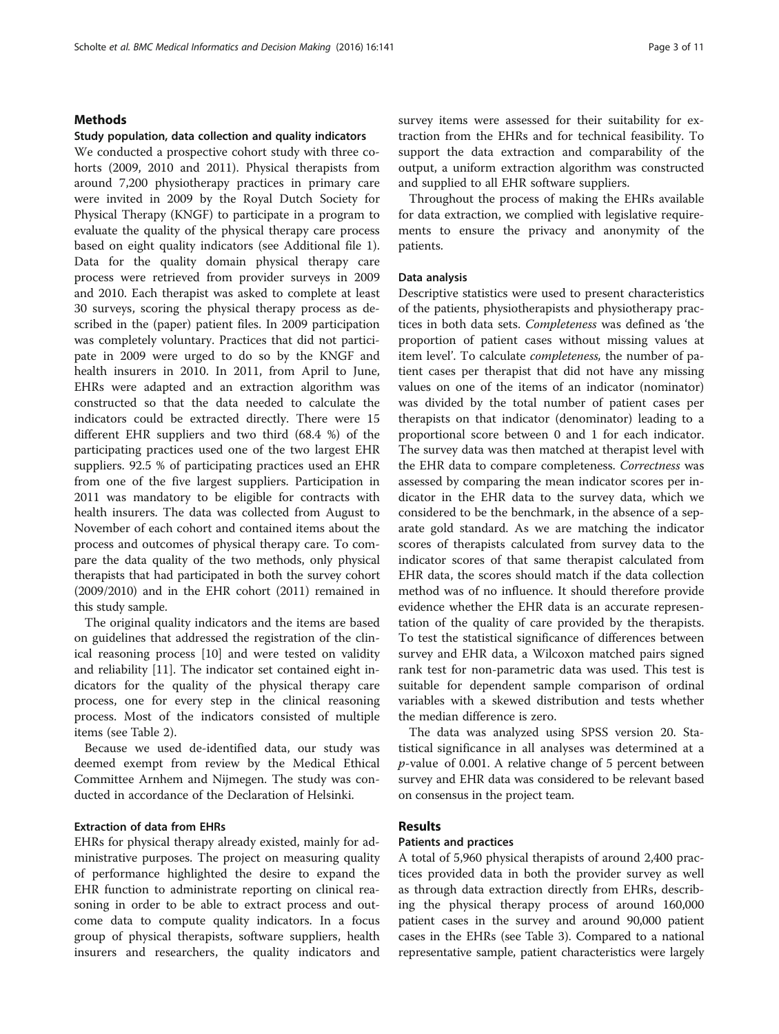## Methods

#### Study population, data collection and quality indicators

We conducted a prospective cohort study with three cohorts (2009, 2010 and 2011). Physical therapists from around 7,200 physiotherapy practices in primary care were invited in 2009 by the Royal Dutch Society for Physical Therapy (KNGF) to participate in a program to evaluate the quality of the physical therapy care process based on eight quality indicators (see Additional file [1](#page-9-0)). Data for the quality domain physical therapy care process were retrieved from provider surveys in 2009 and 2010. Each therapist was asked to complete at least 30 surveys, scoring the physical therapy process as described in the (paper) patient files. In 2009 participation was completely voluntary. Practices that did not participate in 2009 were urged to do so by the KNGF and health insurers in 2010. In 2011, from April to June, EHRs were adapted and an extraction algorithm was constructed so that the data needed to calculate the indicators could be extracted directly. There were 15 different EHR suppliers and two third (68.4 %) of the participating practices used one of the two largest EHR suppliers. 92.5 % of participating practices used an EHR from one of the five largest suppliers. Participation in 2011 was mandatory to be eligible for contracts with health insurers. The data was collected from August to November of each cohort and contained items about the process and outcomes of physical therapy care. To compare the data quality of the two methods, only physical therapists that had participated in both the survey cohort (2009/2010) and in the EHR cohort (2011) remained in this study sample.

The original quality indicators and the items are based on guidelines that addressed the registration of the clinical reasoning process [\[10\]](#page-10-0) and were tested on validity and reliability [[11](#page-10-0)]. The indicator set contained eight indicators for the quality of the physical therapy care process, one for every step in the clinical reasoning process. Most of the indicators consisted of multiple items (see Table [2\)](#page-3-0).

Because we used de-identified data, our study was deemed exempt from review by the Medical Ethical Committee Arnhem and Nijmegen. The study was conducted in accordance of the Declaration of Helsinki.

## Extraction of data from EHRs

EHRs for physical therapy already existed, mainly for administrative purposes. The project on measuring quality of performance highlighted the desire to expand the EHR function to administrate reporting on clinical reasoning in order to be able to extract process and outcome data to compute quality indicators. In a focus group of physical therapists, software suppliers, health insurers and researchers, the quality indicators and survey items were assessed for their suitability for extraction from the EHRs and for technical feasibility. To support the data extraction and comparability of the output, a uniform extraction algorithm was constructed and supplied to all EHR software suppliers.

Throughout the process of making the EHRs available for data extraction, we complied with legislative requirements to ensure the privacy and anonymity of the patients.

## Data analysis

Descriptive statistics were used to present characteristics of the patients, physiotherapists and physiotherapy practices in both data sets. Completeness was defined as 'the proportion of patient cases without missing values at item level'. To calculate completeness, the number of patient cases per therapist that did not have any missing values on one of the items of an indicator (nominator) was divided by the total number of patient cases per therapists on that indicator (denominator) leading to a proportional score between 0 and 1 for each indicator. The survey data was then matched at therapist level with the EHR data to compare completeness. Correctness was assessed by comparing the mean indicator scores per indicator in the EHR data to the survey data, which we considered to be the benchmark, in the absence of a separate gold standard. As we are matching the indicator scores of therapists calculated from survey data to the indicator scores of that same therapist calculated from EHR data, the scores should match if the data collection method was of no influence. It should therefore provide evidence whether the EHR data is an accurate representation of the quality of care provided by the therapists. To test the statistical significance of differences between survey and EHR data, a Wilcoxon matched pairs signed rank test for non-parametric data was used. This test is suitable for dependent sample comparison of ordinal variables with a skewed distribution and tests whether the median difference is zero.

The data was analyzed using SPSS version 20. Statistical significance in all analyses was determined at a p-value of 0.001. A relative change of 5 percent between survey and EHR data was considered to be relevant based on consensus in the project team.

## Results

#### Patients and practices

A total of 5,960 physical therapists of around 2,400 practices provided data in both the provider survey as well as through data extraction directly from EHRs, describing the physical therapy process of around 160,000 patient cases in the survey and around 90,000 patient cases in the EHRs (see Table [3\)](#page-4-0). Compared to a national representative sample, patient characteristics were largely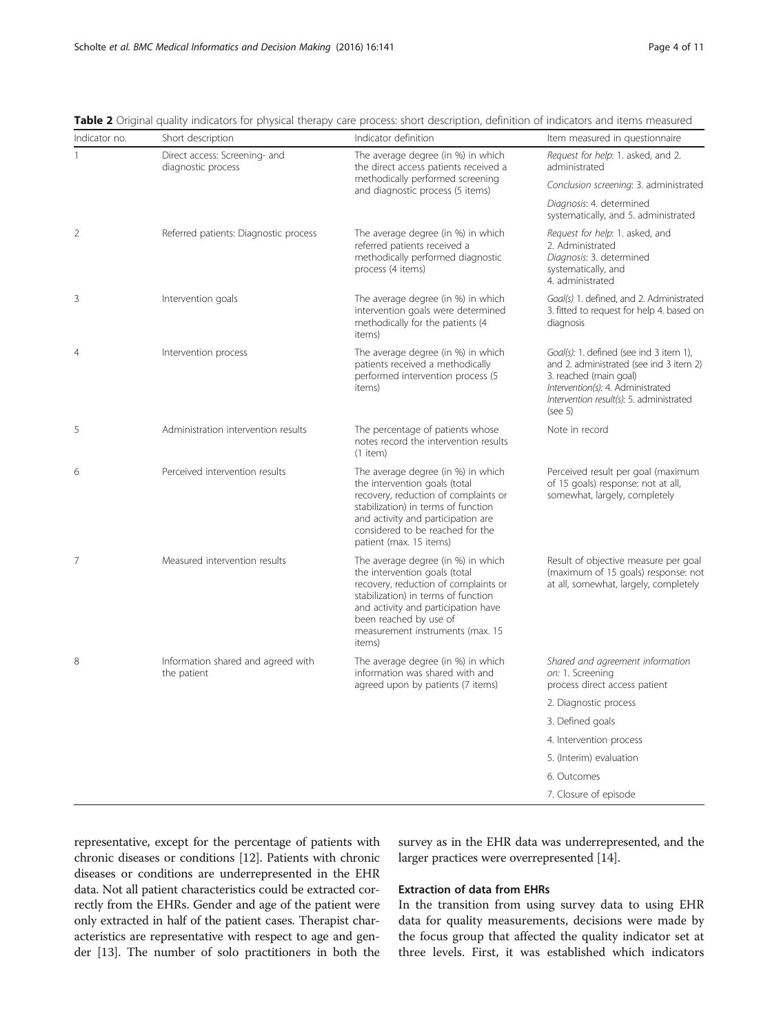| Indicator no.  | Short description                                   | Indicator definition                                                                                                                                                                                                                                              | Item measured in questionnaire                                                                                                                                                                           |
|----------------|-----------------------------------------------------|-------------------------------------------------------------------------------------------------------------------------------------------------------------------------------------------------------------------------------------------------------------------|----------------------------------------------------------------------------------------------------------------------------------------------------------------------------------------------------------|
| $\mathbf{1}$   | Direct access: Screening- and<br>diagnostic process | The average degree (in %) in which<br>the direct access patients received a                                                                                                                                                                                       | Request for help: 1. asked, and 2.<br>administrated                                                                                                                                                      |
|                |                                                     | methodically performed screening<br>and diagnostic process (5 items)                                                                                                                                                                                              | Conclusion screening: 3. administrated                                                                                                                                                                   |
|                |                                                     |                                                                                                                                                                                                                                                                   | Diagnosis: 4. determined<br>systematically, and 5. administrated                                                                                                                                         |
| 2              | Referred patients: Diagnostic process               | The average degree (in %) in which<br>referred patients received a<br>methodically performed diagnostic<br>process (4 items)                                                                                                                                      | Request for help: 1. asked, and<br>2. Administrated<br>Diagnosis: 3. determined<br>systematically, and<br>4. administrated                                                                               |
| 3              | Intervention goals                                  | The average degree (in %) in which<br>intervention goals were determined<br>methodically for the patients (4)<br>items)                                                                                                                                           | Goal(s) 1. defined, and 2. Administrated<br>3. fitted to request for help 4. based on<br>diagnosis                                                                                                       |
| $\overline{4}$ | Intervention process                                | The average degree (in %) in which<br>patients received a methodically<br>performed intervention process (5<br>items)                                                                                                                                             | Goal(s): 1. defined (see ind 3 item 1),<br>and 2. administrated (see ind 3 item 2)<br>3. reached (main goal)<br>Intervention(s): 4. Administrated<br>Intervention result(s): 5. administrated<br>(see 5) |
| 5              | Administration intervention results                 | The percentage of patients whose<br>notes record the intervention results<br>$(1$ item)                                                                                                                                                                           | Note in record                                                                                                                                                                                           |
| 6              | Perceived intervention results                      | The average degree (in %) in which<br>the intervention goals (total<br>recovery, reduction of complaints or<br>stabilization) in terms of function<br>and activity and participation are<br>considered to be reached for the<br>patient (max. 15 items)           | Perceived result per goal (maximum<br>of 15 goals) response: not at all,<br>somewhat, largely, completely                                                                                                |
| 7              | Measured intervention results                       | The average degree (in %) in which<br>the intervention goals (total<br>recovery, reduction of complaints or<br>stabilization) in terms of function<br>and activity and participation have<br>been reached by use of<br>measurement instruments (max. 15<br>items) | Result of objective measure per goal<br>(maximum of 15 goals) response: not<br>at all, somewhat, largely, completely                                                                                     |
| 8              | Information shared and agreed with<br>the patient   | The average degree (in %) in which<br>information was shared with and<br>agreed upon by patients (7 items)                                                                                                                                                        | Shared and agreement information<br>on: 1. Screening<br>process direct access patient                                                                                                                    |
|                |                                                     |                                                                                                                                                                                                                                                                   | 2. Diagnostic process                                                                                                                                                                                    |
|                |                                                     |                                                                                                                                                                                                                                                                   | 3. Defined goals                                                                                                                                                                                         |
|                |                                                     |                                                                                                                                                                                                                                                                   | 4. Intervention process                                                                                                                                                                                  |
|                |                                                     |                                                                                                                                                                                                                                                                   | 5. (Interim) evaluation                                                                                                                                                                                  |
|                |                                                     |                                                                                                                                                                                                                                                                   | 6. Outcomes                                                                                                                                                                                              |
|                |                                                     |                                                                                                                                                                                                                                                                   | 7. Closure of episode                                                                                                                                                                                    |

<span id="page-3-0"></span>Table 2 Original quality indicators for physical therapy care process: short description, definition of indicators and items measured

representative, except for the percentage of patients with chronic diseases or conditions [[12](#page-10-0)]. Patients with chronic diseases or conditions are underrepresented in the EHR data. Not all patient characteristics could be extracted correctly from the EHRs. Gender and age of the patient were only extracted in half of the patient cases. Therapist characteristics are representative with respect to age and gender [\[13](#page-10-0)]. The number of solo practitioners in both the

survey as in the EHR data was underrepresented, and the larger practices were overrepresented [\[14](#page-10-0)].

## Extraction of data from EHRs

In the transition from using survey data to using EHR data for quality measurements, decisions were made by the focus group that affected the quality indicator set at three levels. First, it was established which indicators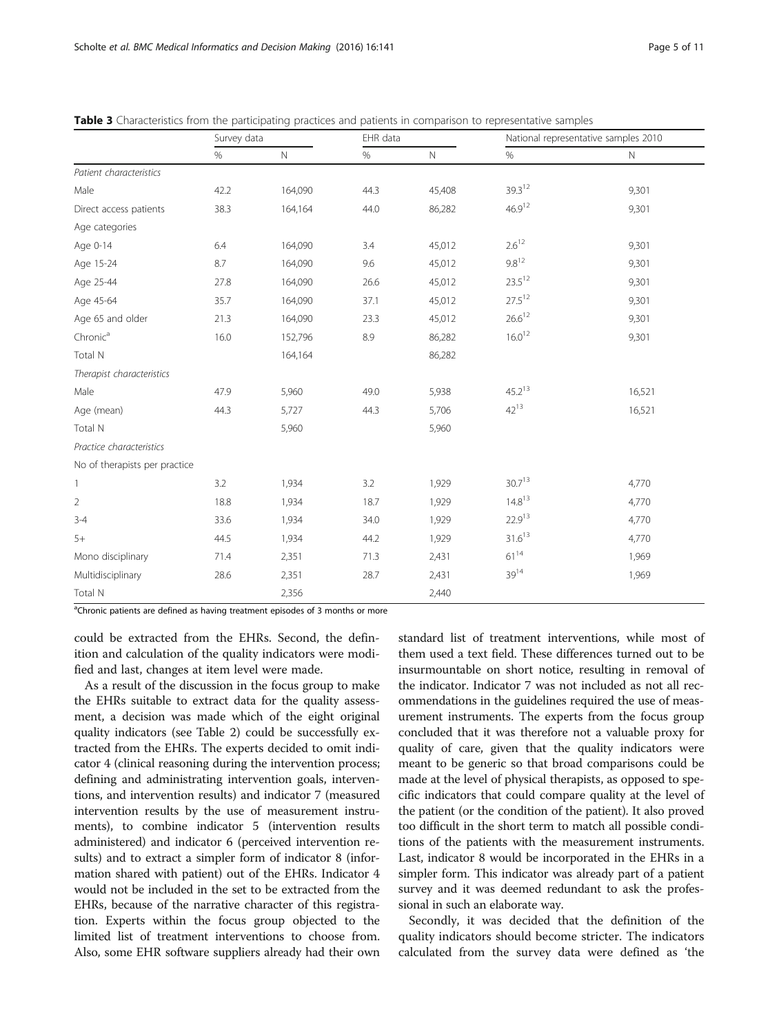|                               | Survey data |              | EHR data |              | National representative samples 2010 |              |
|-------------------------------|-------------|--------------|----------|--------------|--------------------------------------|--------------|
|                               | $\%$        | $\mathsf{N}$ | $\%$     | $\mathsf{N}$ | $\%$                                 | $\mathsf{N}$ |
| Patient characteristics       |             |              |          |              |                                      |              |
| Male                          | 42.2        | 164,090      | 44.3     | 45,408       | $39.3^{12}$                          | 9,301        |
| Direct access patients        | 38.3        | 164,164      | 44.0     | 86,282       | $46.9^{12}$                          | 9,301        |
| Age categories                |             |              |          |              |                                      |              |
| Age 0-14                      | 6.4         | 164,090      | 3.4      | 45,012       | $2.6^{12}$                           | 9,301        |
| Age 15-24                     | 8.7         | 164,090      | 9.6      | 45,012       | $9.8^{12}$                           | 9,301        |
| Age 25-44                     | 27.8        | 164,090      | 26.6     | 45,012       | $23.5^{12}$                          | 9,301        |
| Age 45-64                     | 35.7        | 164,090      | 37.1     | 45,012       | $27.5^{12}$                          | 9,301        |
| Age 65 and older              | 21.3        | 164,090      | 23.3     | 45,012       | $26.6^{12}$                          | 9,301        |
| Chronic <sup>a</sup>          | 16.0        | 152,796      | 8.9      | 86,282       | $16.0^{12}$                          | 9,301        |
| Total N                       |             | 164,164      |          | 86,282       |                                      |              |
| Therapist characteristics     |             |              |          |              |                                      |              |
| Male                          | 47.9        | 5,960        | 49.0     | 5,938        | $45.2^{13}$                          | 16,521       |
| Age (mean)                    | 44.3        | 5,727        | 44.3     | 5,706        | $42^{13}$                            | 16,521       |
| Total N                       |             | 5,960        |          | 5,960        |                                      |              |
| Practice characteristics      |             |              |          |              |                                      |              |
| No of therapists per practice |             |              |          |              |                                      |              |
| $\overline{1}$                | 3.2         | 1,934        | 3.2      | 1,929        | $30.7^{13}$                          | 4,770        |
| $\overline{2}$                | 18.8        | 1,934        | 18.7     | 1,929        | $14.8^{13}$                          | 4,770        |
| $3 - 4$                       | 33.6        | 1,934        | 34.0     | 1,929        | 22.9 <sup>13</sup>                   | 4,770        |
| $5+$                          | 44.5        | 1,934        | 44.2     | 1,929        | $31.6^{13}$                          | 4,770        |
| Mono disciplinary             | 71.4        | 2,351        | 71.3     | 2,431        | $61^{14}$                            | 1,969        |
| Multidisciplinary             | 28.6        | 2,351        | 28.7     | 2,431        | $39^{14}$                            | 1,969        |
| Total N                       |             | 2,356        |          | 2,440        |                                      |              |

<span id="page-4-0"></span>Table 3 Characteristics from the participating practices and patients in comparison to representative samples

<sup>a</sup>Chronic patients are defined as having treatment episodes of 3 months or more

could be extracted from the EHRs. Second, the definition and calculation of the quality indicators were modified and last, changes at item level were made.

As a result of the discussion in the focus group to make the EHRs suitable to extract data for the quality assessment, a decision was made which of the eight original quality indicators (see Table [2\)](#page-3-0) could be successfully extracted from the EHRs. The experts decided to omit indicator 4 (clinical reasoning during the intervention process; defining and administrating intervention goals, interventions, and intervention results) and indicator 7 (measured intervention results by the use of measurement instruments), to combine indicator 5 (intervention results administered) and indicator 6 (perceived intervention results) and to extract a simpler form of indicator 8 (information shared with patient) out of the EHRs. Indicator 4 would not be included in the set to be extracted from the EHRs, because of the narrative character of this registration. Experts within the focus group objected to the limited list of treatment interventions to choose from. Also, some EHR software suppliers already had their own standard list of treatment interventions, while most of them used a text field. These differences turned out to be insurmountable on short notice, resulting in removal of the indicator. Indicator 7 was not included as not all recommendations in the guidelines required the use of measurement instruments. The experts from the focus group concluded that it was therefore not a valuable proxy for quality of care, given that the quality indicators were meant to be generic so that broad comparisons could be made at the level of physical therapists, as opposed to specific indicators that could compare quality at the level of the patient (or the condition of the patient). It also proved too difficult in the short term to match all possible conditions of the patients with the measurement instruments. Last, indicator 8 would be incorporated in the EHRs in a simpler form. This indicator was already part of a patient survey and it was deemed redundant to ask the professional in such an elaborate way.

Secondly, it was decided that the definition of the quality indicators should become stricter. The indicators calculated from the survey data were defined as 'the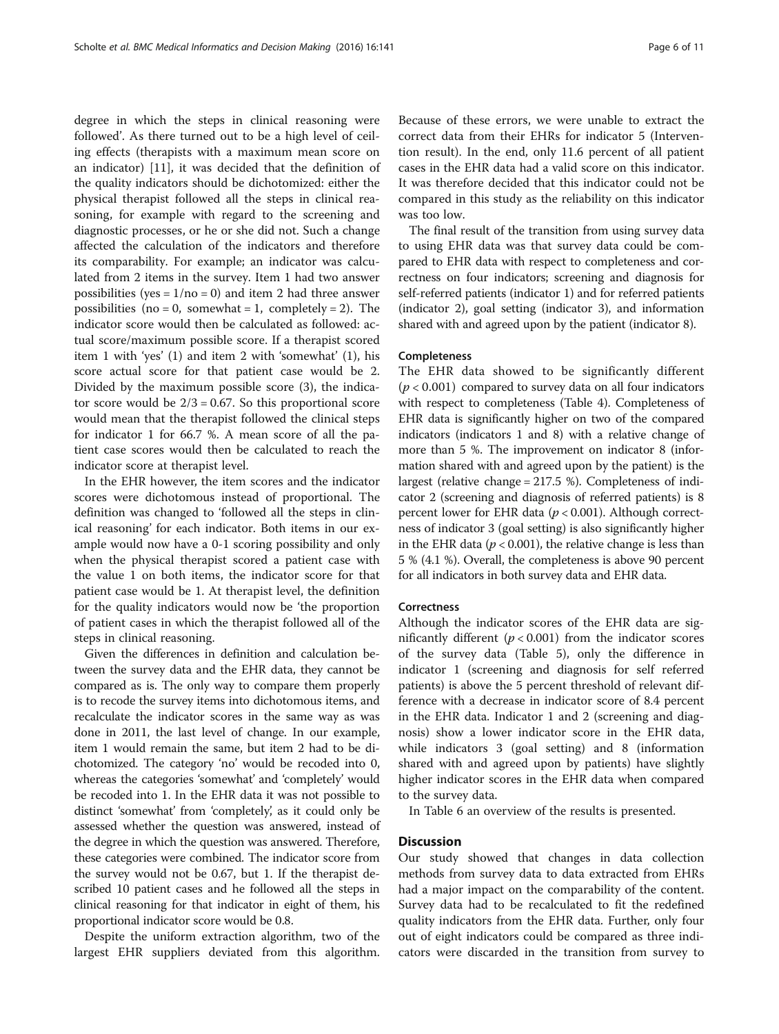degree in which the steps in clinical reasoning were followed'. As there turned out to be a high level of ceiling effects (therapists with a maximum mean score on an indicator) [[11\]](#page-10-0), it was decided that the definition of the quality indicators should be dichotomized: either the physical therapist followed all the steps in clinical reasoning, for example with regard to the screening and diagnostic processes, or he or she did not. Such a change affected the calculation of the indicators and therefore its comparability. For example; an indicator was calculated from 2 items in the survey. Item 1 had two answer possibilities (yes =  $1/no = 0$ ) and item 2 had three answer possibilities (no = 0, somewhat = 1, completely = 2). The indicator score would then be calculated as followed: actual score/maximum possible score. If a therapist scored item 1 with 'yes' (1) and item 2 with 'somewhat' (1), his score actual score for that patient case would be 2. Divided by the maximum possible score (3), the indicator score would be  $2/3 = 0.67$ . So this proportional score would mean that the therapist followed the clinical steps for indicator 1 for 66.7 %. A mean score of all the patient case scores would then be calculated to reach the indicator score at therapist level.

In the EHR however, the item scores and the indicator scores were dichotomous instead of proportional. The definition was changed to 'followed all the steps in clinical reasoning' for each indicator. Both items in our example would now have a 0-1 scoring possibility and only when the physical therapist scored a patient case with the value 1 on both items, the indicator score for that patient case would be 1. At therapist level, the definition for the quality indicators would now be 'the proportion of patient cases in which the therapist followed all of the steps in clinical reasoning.

Given the differences in definition and calculation between the survey data and the EHR data, they cannot be compared as is. The only way to compare them properly is to recode the survey items into dichotomous items, and recalculate the indicator scores in the same way as was done in 2011, the last level of change. In our example, item 1 would remain the same, but item 2 had to be dichotomized. The category 'no' would be recoded into 0, whereas the categories 'somewhat' and 'completely' would be recoded into 1. In the EHR data it was not possible to distinct 'somewhat' from 'completely', as it could only be assessed whether the question was answered, instead of the degree in which the question was answered. Therefore, these categories were combined. The indicator score from the survey would not be 0.67, but 1. If the therapist described 10 patient cases and he followed all the steps in clinical reasoning for that indicator in eight of them, his proportional indicator score would be 0.8.

Despite the uniform extraction algorithm, two of the largest EHR suppliers deviated from this algorithm.

Because of these errors, we were unable to extract the correct data from their EHRs for indicator 5 (Intervention result). In the end, only 11.6 percent of all patient cases in the EHR data had a valid score on this indicator. It was therefore decided that this indicator could not be compared in this study as the reliability on this indicator was too low.

The final result of the transition from using survey data to using EHR data was that survey data could be compared to EHR data with respect to completeness and correctness on four indicators; screening and diagnosis for self-referred patients (indicator 1) and for referred patients (indicator 2), goal setting (indicator 3), and information shared with and agreed upon by the patient (indicator 8).

## Completeness

The EHR data showed to be significantly different  $(p < 0.001)$  compared to survey data on all four indicators with respect to completeness (Table [4\)](#page-6-0). Completeness of EHR data is significantly higher on two of the compared indicators (indicators 1 and 8) with a relative change of more than 5 %. The improvement on indicator 8 (information shared with and agreed upon by the patient) is the largest (relative change = 217.5 %). Completeness of indicator 2 (screening and diagnosis of referred patients) is 8 percent lower for EHR data ( $p < 0.001$ ). Although correctness of indicator 3 (goal setting) is also significantly higher in the EHR data ( $p < 0.001$ ), the relative change is less than 5 % (4.1 %). Overall, the completeness is above 90 percent for all indicators in both survey data and EHR data.

## **Correctness**

Although the indicator scores of the EHR data are significantly different  $(p < 0.001)$  from the indicator scores of the survey data (Table [5](#page-6-0)), only the difference in indicator 1 (screening and diagnosis for self referred patients) is above the 5 percent threshold of relevant difference with a decrease in indicator score of 8.4 percent in the EHR data. Indicator 1 and 2 (screening and diagnosis) show a lower indicator score in the EHR data, while indicators 3 (goal setting) and 8 (information shared with and agreed upon by patients) have slightly higher indicator scores in the EHR data when compared to the survey data.

In Table [6](#page-7-0) an overview of the results is presented.

## **Discussion**

Our study showed that changes in data collection methods from survey data to data extracted from EHRs had a major impact on the comparability of the content. Survey data had to be recalculated to fit the redefined quality indicators from the EHR data. Further, only four out of eight indicators could be compared as three indicators were discarded in the transition from survey to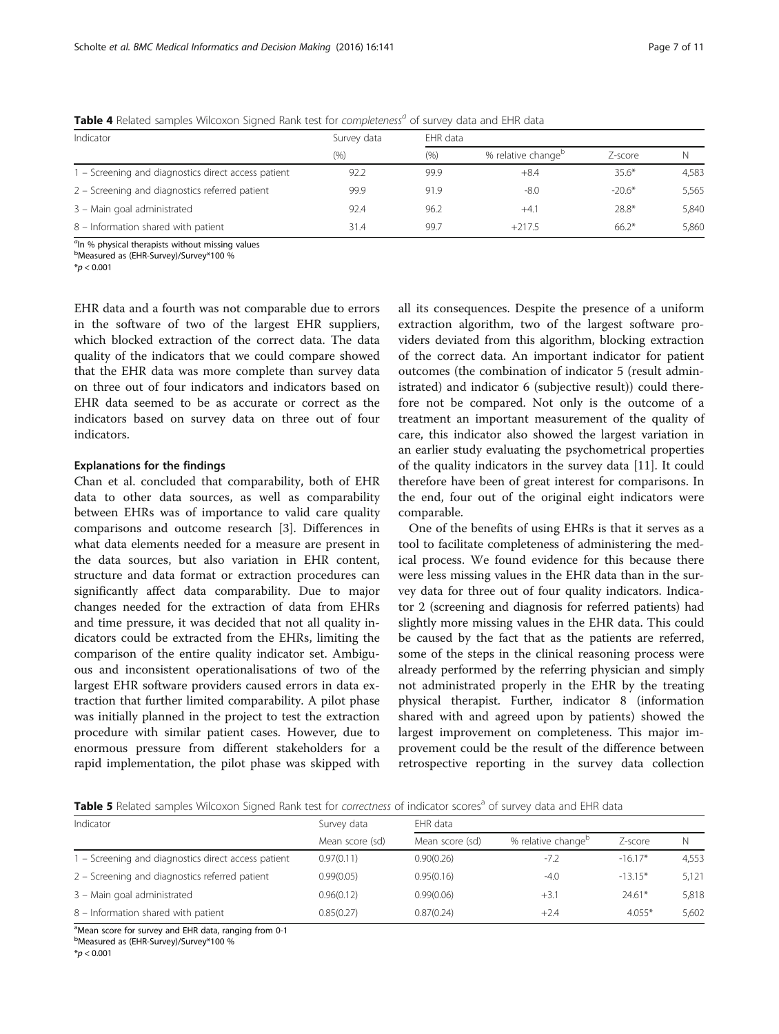| Indicator                                           | Survey data | EHR data |                                 |          |       |
|-----------------------------------------------------|-------------|----------|---------------------------------|----------|-------|
|                                                     | (9/6)       | (9/6)    | % relative change <sup>13</sup> | Z-score  | N     |
| 1 – Screening and diagnostics direct access patient | 92.2        | 99.9     | $+8.4$                          | $35.6*$  | 4,583 |
| 2 – Screening and diagnostics referred patient      | 99.9        | 91.9     | $-8.0$                          | $-20.6*$ | 5,565 |
| 3 - Main goal administrated                         | 92.4        | 96.2     | $+4.$                           | $28.8*$  | 5,840 |
| 8 - Information shared with patient                 | 31.4        | 99.7     | $+217.5$                        | $66.2*$  | 5,860 |

<span id="page-6-0"></span>Table 4 Related samples Wilcoxon Signed Rank test for *completeness<sup>a</sup>* of survey data and EHR data

<sup>a</sup>In % physical therapists without missing values

b<br>Measured as (EHR-Survey)/Survey\*100 %

 $*$ *p* < 0.001

EHR data and a fourth was not comparable due to errors in the software of two of the largest EHR suppliers, which blocked extraction of the correct data. The data quality of the indicators that we could compare showed that the EHR data was more complete than survey data on three out of four indicators and indicators based on EHR data seemed to be as accurate or correct as the indicators based on survey data on three out of four indicators.

## Explanations for the findings

Chan et al. concluded that comparability, both of EHR data to other data sources, as well as comparability between EHRs was of importance to valid care quality comparisons and outcome research [\[3](#page-9-0)]. Differences in what data elements needed for a measure are present in the data sources, but also variation in EHR content, structure and data format or extraction procedures can significantly affect data comparability. Due to major changes needed for the extraction of data from EHRs and time pressure, it was decided that not all quality indicators could be extracted from the EHRs, limiting the comparison of the entire quality indicator set. Ambiguous and inconsistent operationalisations of two of the largest EHR software providers caused errors in data extraction that further limited comparability. A pilot phase was initially planned in the project to test the extraction procedure with similar patient cases. However, due to enormous pressure from different stakeholders for a rapid implementation, the pilot phase was skipped with

all its consequences. Despite the presence of a uniform extraction algorithm, two of the largest software providers deviated from this algorithm, blocking extraction of the correct data. An important indicator for patient outcomes (the combination of indicator 5 (result administrated) and indicator 6 (subjective result)) could therefore not be compared. Not only is the outcome of a treatment an important measurement of the quality of care, this indicator also showed the largest variation in an earlier study evaluating the psychometrical properties of the quality indicators in the survey data [[11\]](#page-10-0). It could therefore have been of great interest for comparisons. In the end, four out of the original eight indicators were comparable.

One of the benefits of using EHRs is that it serves as a tool to facilitate completeness of administering the medical process. We found evidence for this because there were less missing values in the EHR data than in the survey data for three out of four quality indicators. Indicator 2 (screening and diagnosis for referred patients) had slightly more missing values in the EHR data. This could be caused by the fact that as the patients are referred, some of the steps in the clinical reasoning process were already performed by the referring physician and simply not administrated properly in the EHR by the treating physical therapist. Further, indicator 8 (information shared with and agreed upon by patients) showed the largest improvement on completeness. This major improvement could be the result of the difference between retrospective reporting in the survey data collection

Table 5 Related samples Wilcoxon Signed Rank test for correctness of indicator scores<sup>a</sup> of survey data and EHR data

| Indicator                                           | Survey data     | EHR data        |                                |           |       |
|-----------------------------------------------------|-----------------|-----------------|--------------------------------|-----------|-------|
|                                                     | Mean score (sd) | Mean score (sd) | % relative change <sup>p</sup> | Z-score   | Ν     |
| 1 – Screening and diagnostics direct access patient | 0.97(0.11)      | 0.90(0.26)      | $-7.2$                         | $-16.17*$ | 4,553 |
| 2 – Screening and diagnostics referred patient      | 0.99(0.05)      | 0.95(0.16)      | $-4.0$                         | $-13.15*$ | 5,121 |
| 3 - Main goal administrated                         | 0.96(0.12)      | 0.99(0.06)      | $+3.1$                         | $74.61*$  | 5,818 |
| 8 - Information shared with patient                 | 0.85(0.27)      | 0.87(0.24)      | $+2.4$                         | $4.055*$  | 5.602 |

<sup>a</sup>Mean score for survey and EHR data, ranging from 0-1

b Measured as (EHR-Survey)/Survey\*100 %

 $*$ *p* < 0.001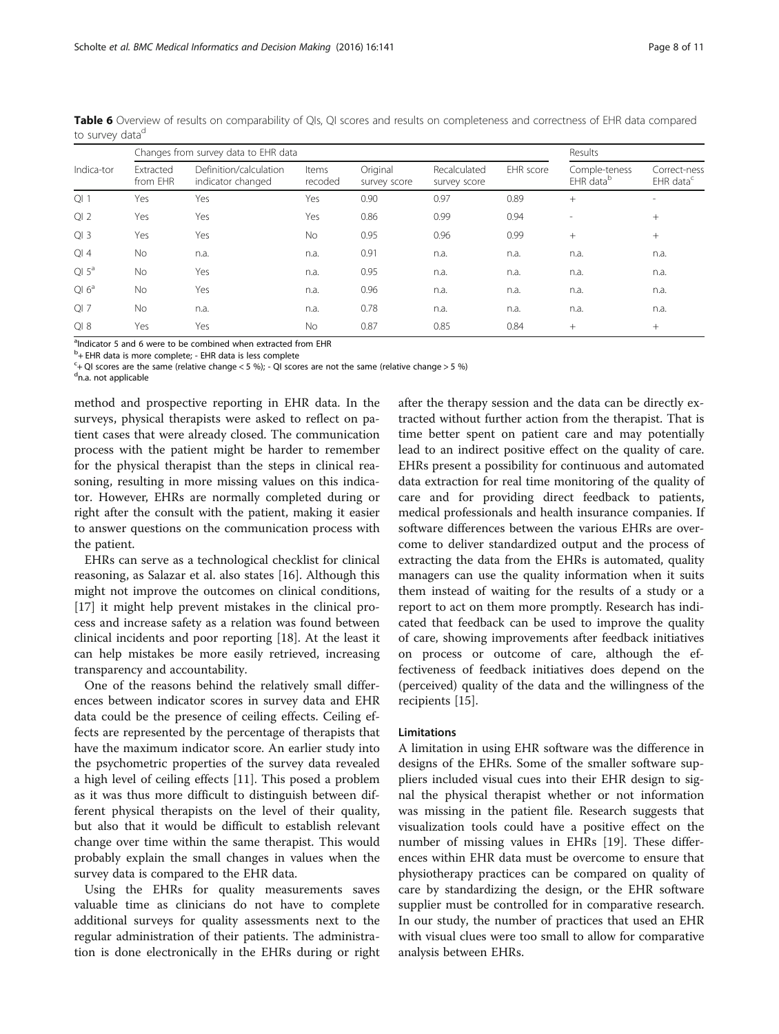| $\epsilon$          |                       | Changes from survey data to EHR data        | Results          |                          |                              |           |                                        |                                       |
|---------------------|-----------------------|---------------------------------------------|------------------|--------------------------|------------------------------|-----------|----------------------------------------|---------------------------------------|
| Indica-tor          | Extracted<br>from EHR | Definition/calculation<br>indicator changed | Items<br>recoded | Original<br>survey score | Recalculated<br>survey score | EHR score | Comple-teness<br>EHR data <sup>b</sup> | Correct-ness<br>EHR data <sup>c</sup> |
| $QI$ 1              | Yes                   | Yes                                         | Yes              | 0.90                     | 0.97                         | 0.89      | $^{+}$                                 | $\overline{\phantom{a}}$              |
| $QI$ 2              | Yes                   | Yes                                         | Yes              | 0.86                     | 0.99                         | 0.94      | $\sim$                                 | $^{+}$                                |
| $QI$ 3              | Yes                   | Yes                                         | <b>No</b>        | 0.95                     | 0.96                         | 0.99      | $^{+}$                                 | $^{+}$                                |
| $QI$ 4              | No                    | n.a.                                        | n.a.             | 0.91                     | n.a.                         | n.a.      | n.a.                                   | n.a.                                  |
| $QI$ 5 <sup>a</sup> | No                    | Yes                                         | n.a.             | 0.95                     | n.a.                         | n.a.      | n.a.                                   | n.a.                                  |
| $QI_6^a$            | No                    | Yes                                         | n.a.             | 0.96                     | n.a.                         | n.a.      | n.a.                                   | n.a.                                  |
| $QI$ 7              | No                    | n.a.                                        | n.a.             | 0.78                     | n.a.                         | n.a.      | n.a.                                   | n.a.                                  |
| QI 8                | Yes                   | Yes                                         | <b>No</b>        | 0.87                     | 0.85                         | 0.84      | $^{+}$                                 | $^{+}$                                |

<span id="page-7-0"></span>Table 6 Overview of results on comparability of QIs, QI scores and results on completeness and correctness of EHR data compared to survey data<sup>d</sup>

<sup>a</sup>Indicator 5 and 6 were to be combined when extracted from EHR

<sup>b</sup>+ EHR data is more complete; - EHR data is less complete

 $c<sub>+</sub>$  QI scores are the same (relative change < 5 %); - QI scores are not the same (relative change > 5 %)

<sup>d</sup>n.a. not applicable

method and prospective reporting in EHR data. In the surveys, physical therapists were asked to reflect on patient cases that were already closed. The communication process with the patient might be harder to remember for the physical therapist than the steps in clinical reasoning, resulting in more missing values on this indicator. However, EHRs are normally completed during or right after the consult with the patient, making it easier to answer questions on the communication process with the patient.

EHRs can serve as a technological checklist for clinical reasoning, as Salazar et al. also states [[16\]](#page-10-0). Although this might not improve the outcomes on clinical conditions, [[17\]](#page-10-0) it might help prevent mistakes in the clinical process and increase safety as a relation was found between clinical incidents and poor reporting [[18\]](#page-10-0). At the least it can help mistakes be more easily retrieved, increasing transparency and accountability.

One of the reasons behind the relatively small differences between indicator scores in survey data and EHR data could be the presence of ceiling effects. Ceiling effects are represented by the percentage of therapists that have the maximum indicator score. An earlier study into the psychometric properties of the survey data revealed a high level of ceiling effects [\[11](#page-10-0)]. This posed a problem as it was thus more difficult to distinguish between different physical therapists on the level of their quality, but also that it would be difficult to establish relevant change over time within the same therapist. This would probably explain the small changes in values when the survey data is compared to the EHR data.

Using the EHRs for quality measurements saves valuable time as clinicians do not have to complete additional surveys for quality assessments next to the regular administration of their patients. The administration is done electronically in the EHRs during or right

after the therapy session and the data can be directly extracted without further action from the therapist. That is time better spent on patient care and may potentially lead to an indirect positive effect on the quality of care. EHRs present a possibility for continuous and automated data extraction for real time monitoring of the quality of care and for providing direct feedback to patients, medical professionals and health insurance companies. If software differences between the various EHRs are overcome to deliver standardized output and the process of extracting the data from the EHRs is automated, quality managers can use the quality information when it suits them instead of waiting for the results of a study or a report to act on them more promptly. Research has indicated that feedback can be used to improve the quality of care, showing improvements after feedback initiatives on process or outcome of care, although the effectiveness of feedback initiatives does depend on the (perceived) quality of the data and the willingness of the recipients [[15](#page-10-0)].

#### Limitations

A limitation in using EHR software was the difference in designs of the EHRs. Some of the smaller software suppliers included visual cues into their EHR design to signal the physical therapist whether or not information was missing in the patient file. Research suggests that visualization tools could have a positive effect on the number of missing values in EHRs [\[19](#page-10-0)]. These differences within EHR data must be overcome to ensure that physiotherapy practices can be compared on quality of care by standardizing the design, or the EHR software supplier must be controlled for in comparative research. In our study, the number of practices that used an EHR with visual clues were too small to allow for comparative analysis between EHRs.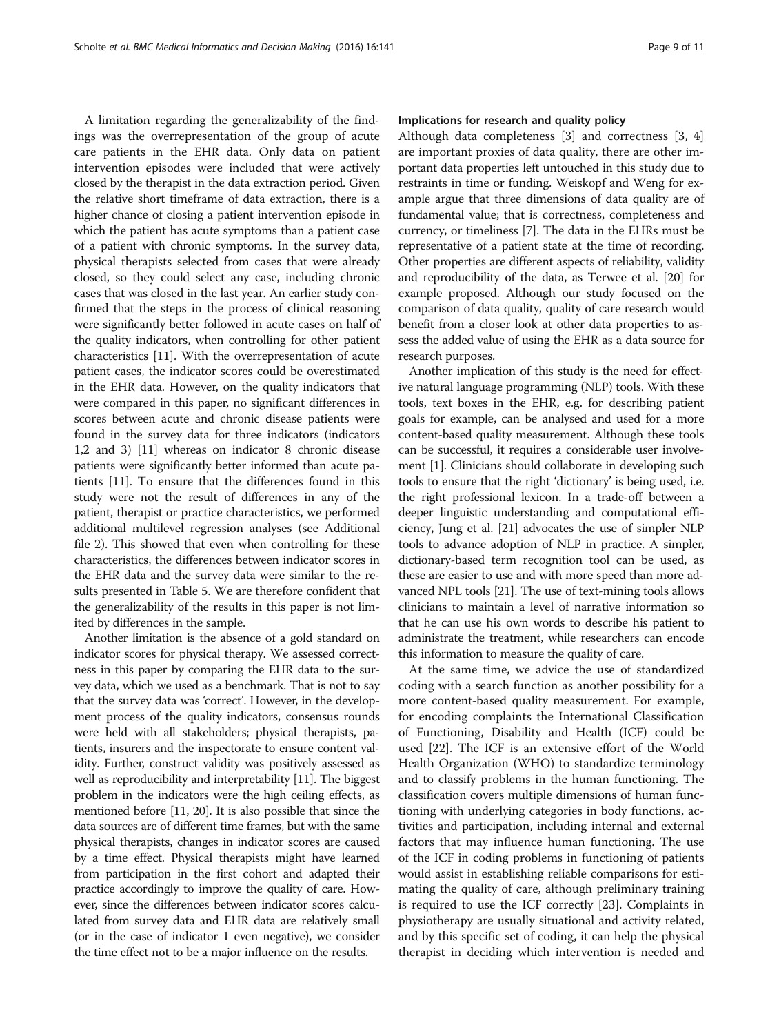A limitation regarding the generalizability of the findings was the overrepresentation of the group of acute care patients in the EHR data. Only data on patient intervention episodes were included that were actively closed by the therapist in the data extraction period. Given the relative short timeframe of data extraction, there is a higher chance of closing a patient intervention episode in which the patient has acute symptoms than a patient case of a patient with chronic symptoms. In the survey data, physical therapists selected from cases that were already closed, so they could select any case, including chronic cases that was closed in the last year. An earlier study confirmed that the steps in the process of clinical reasoning were significantly better followed in acute cases on half of the quality indicators, when controlling for other patient characteristics [\[11\]](#page-10-0). With the overrepresentation of acute patient cases, the indicator scores could be overestimated in the EHR data. However, on the quality indicators that were compared in this paper, no significant differences in scores between acute and chronic disease patients were found in the survey data for three indicators (indicators 1,2 and 3) [\[11\]](#page-10-0) whereas on indicator 8 chronic disease patients were significantly better informed than acute patients [\[11\]](#page-10-0). To ensure that the differences found in this study were not the result of differences in any of the patient, therapist or practice characteristics, we performed additional multilevel regression analyses (see Additional file [2](#page-9-0)). This showed that even when controlling for these characteristics, the differences between indicator scores in the EHR data and the survey data were similar to the results presented in Table [5.](#page-6-0) We are therefore confident that the generalizability of the results in this paper is not limited by differences in the sample.

Another limitation is the absence of a gold standard on indicator scores for physical therapy. We assessed correctness in this paper by comparing the EHR data to the survey data, which we used as a benchmark. That is not to say that the survey data was 'correct'. However, in the development process of the quality indicators, consensus rounds were held with all stakeholders; physical therapists, patients, insurers and the inspectorate to ensure content validity. Further, construct validity was positively assessed as well as reproducibility and interpretability [\[11\]](#page-10-0). The biggest problem in the indicators were the high ceiling effects, as mentioned before [\[11, 20](#page-10-0)]. It is also possible that since the data sources are of different time frames, but with the same physical therapists, changes in indicator scores are caused by a time effect. Physical therapists might have learned from participation in the first cohort and adapted their practice accordingly to improve the quality of care. However, since the differences between indicator scores calculated from survey data and EHR data are relatively small (or in the case of indicator 1 even negative), we consider the time effect not to be a major influence on the results.

#### Implications for research and quality policy

Although data completeness [\[3](#page-9-0)] and correctness [[3, 4](#page-9-0)] are important proxies of data quality, there are other important data properties left untouched in this study due to restraints in time or funding. Weiskopf and Weng for example argue that three dimensions of data quality are of fundamental value; that is correctness, completeness and currency, or timeliness [\[7](#page-10-0)]. The data in the EHRs must be representative of a patient state at the time of recording. Other properties are different aspects of reliability, validity and reproducibility of the data, as Terwee et al. [\[20](#page-10-0)] for example proposed. Although our study focused on the comparison of data quality, quality of care research would benefit from a closer look at other data properties to assess the added value of using the EHR as a data source for research purposes.

Another implication of this study is the need for effective natural language programming (NLP) tools. With these tools, text boxes in the EHR, e.g. for describing patient goals for example, can be analysed and used for a more content-based quality measurement. Although these tools can be successful, it requires a considerable user involvement [[1](#page-9-0)]. Clinicians should collaborate in developing such tools to ensure that the right 'dictionary' is being used, i.e. the right professional lexicon. In a trade-off between a deeper linguistic understanding and computational efficiency, Jung et al. [[21](#page-10-0)] advocates the use of simpler NLP tools to advance adoption of NLP in practice. A simpler, dictionary-based term recognition tool can be used, as these are easier to use and with more speed than more advanced NPL tools [[21](#page-10-0)]. The use of text-mining tools allows clinicians to maintain a level of narrative information so that he can use his own words to describe his patient to administrate the treatment, while researchers can encode this information to measure the quality of care.

At the same time, we advice the use of standardized coding with a search function as another possibility for a more content-based quality measurement. For example, for encoding complaints the International Classification of Functioning, Disability and Health (ICF) could be used [[22\]](#page-10-0). The ICF is an extensive effort of the World Health Organization (WHO) to standardize terminology and to classify problems in the human functioning. The classification covers multiple dimensions of human functioning with underlying categories in body functions, activities and participation, including internal and external factors that may influence human functioning. The use of the ICF in coding problems in functioning of patients would assist in establishing reliable comparisons for estimating the quality of care, although preliminary training is required to use the ICF correctly [[23](#page-10-0)]. Complaints in physiotherapy are usually situational and activity related, and by this specific set of coding, it can help the physical therapist in deciding which intervention is needed and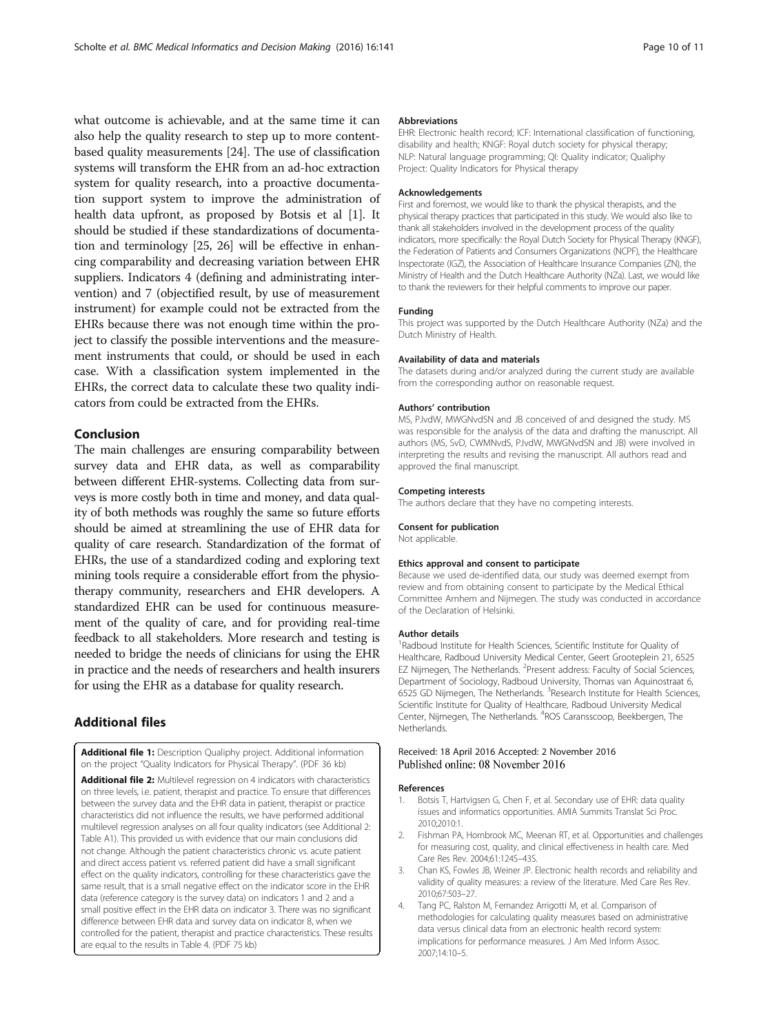<span id="page-9-0"></span>what outcome is achievable, and at the same time it can also help the quality research to step up to more contentbased quality measurements [\[24\]](#page-10-0). The use of classification systems will transform the EHR from an ad-hoc extraction system for quality research, into a proactive documentation support system to improve the administration of health data upfront, as proposed by Botsis et al [1]. It should be studied if these standardizations of documentation and terminology [\[25](#page-10-0), [26\]](#page-10-0) will be effective in enhancing comparability and decreasing variation between EHR suppliers. Indicators 4 (defining and administrating intervention) and 7 (objectified result, by use of measurement instrument) for example could not be extracted from the EHRs because there was not enough time within the project to classify the possible interventions and the measurement instruments that could, or should be used in each case. With a classification system implemented in the EHRs, the correct data to calculate these two quality indicators from could be extracted from the EHRs.

## Conclusion

The main challenges are ensuring comparability between survey data and EHR data, as well as comparability between different EHR-systems. Collecting data from surveys is more costly both in time and money, and data quality of both methods was roughly the same so future efforts should be aimed at streamlining the use of EHR data for quality of care research. Standardization of the format of EHRs, the use of a standardized coding and exploring text mining tools require a considerable effort from the physiotherapy community, researchers and EHR developers. A standardized EHR can be used for continuous measurement of the quality of care, and for providing real-time feedback to all stakeholders. More research and testing is needed to bridge the needs of clinicians for using the EHR in practice and the needs of researchers and health insurers for using the EHR as a database for quality research.

## Additional files

[Additional file 1:](dx.doi.org/10.1186/s12911-016-0382-4) Description Qualiphy project. Additional information on the project "Quality Indicators for Physical Therapy". (PDF 36 kb)

[Additional file 2:](dx.doi.org/10.1186/s12911-016-0382-4) Multilevel regression on 4 indicators with characteristics on three levels, i.e. patient, therapist and practice. To ensure that differences between the survey data and the EHR data in patient, therapist or practice characteristics did not influence the results, we have performed additional multilevel regression analyses on all four quality indicators (see Additional 2: Table A1). This provided us with evidence that our main conclusions did not change. Although the patient characteristics chronic vs. acute patient and direct access patient vs. referred patient did have a small significant effect on the quality indicators, controlling for these characteristics gave the same result, that is a small negative effect on the indicator score in the EHR data (reference category is the survey data) on indicators 1 and 2 and a small positive effect in the EHR data on indicator 3. There was no significant difference between EHR data and survey data on indicator 8, when we controlled for the patient, therapist and practice characteristics. These results are equal to the results in Table [4.](#page-6-0) (PDF 75 kb)

#### Abbreviations

EHR: Electronic health record; ICF: International classification of functioning, disability and health; KNGF: Royal dutch society for physical therapy; NLP: Natural language programming; QI: Quality indicator; Qualiphy Project: Quality Indicators for Physical therapy

#### Acknowledgements

First and foremost, we would like to thank the physical therapists, and the physical therapy practices that participated in this study. We would also like to thank all stakeholders involved in the development process of the quality indicators, more specifically: the Royal Dutch Society for Physical Therapy (KNGF), the Federation of Patients and Consumers Organizations (NCPF), the Healthcare Inspectorate (IGZ), the Association of Healthcare Insurance Companies (ZN), the Ministry of Health and the Dutch Healthcare Authority (NZa). Last, we would like to thank the reviewers for their helpful comments to improve our paper.

#### Funding

This project was supported by the Dutch Healthcare Authority (NZa) and the Dutch Ministry of Health.

#### Availability of data and materials

The datasets during and/or analyzed during the current study are available from the corresponding author on reasonable request.

#### Authors' contribution

MS, PJvdW, MWGNvdSN and JB conceived of and designed the study. MS was responsible for the analysis of the data and drafting the manuscript. All authors (MS, SvD, CWMNvdS, PJvdW, MWGNvdSN and JB) were involved in interpreting the results and revising the manuscript. All authors read and approved the final manuscript.

#### Competing interests

The authors declare that they have no competing interests.

## Consent for publication

Not applicable.

#### Ethics approval and consent to participate

Because we used de-identified data, our study was deemed exempt from review and from obtaining consent to participate by the Medical Ethical Committee Arnhem and Nijmegen. The study was conducted in accordance of the Declaration of Helsinki.

#### Author details

<sup>1</sup>Radboud Institute for Health Sciences, Scientific Institute for Quality of Healthcare, Radboud University Medical Center, Geert Grooteplein 21, 6525 EZ Nijmegen, The Netherlands. <sup>2</sup> Present address: Faculty of Social Sciences, Department of Sociology, Radboud University, Thomas van Aquinostraat 6, 6525 GD Nijmegen, The Netherlands. <sup>3</sup>Research Institute for Health Sciences, Scientific Institute for Quality of Healthcare, Radboud University Medical Center, Nijmegen, The Netherlands. <sup>4</sup>ROS Caransscoop, Beekbergen, The Netherlands.

## Received: 18 April 2016 Accepted: 2 November 2016 Published online: 08 November 2016

#### References

- 1. Botsis T, Hartvigsen G, Chen F, et al. Secondary use of EHR: data quality issues and informatics opportunities. AMIA Summits Translat Sci Proc. 2010;2010:1.
- 2. Fishman PA, Hornbrook MC, Meenan RT, et al. Opportunities and challenges for measuring cost, quality, and clinical effectiveness in health care. Med Care Res Rev. 2004;61:124S–43S.
- 3. Chan KS, Fowles JB, Weiner JP. Electronic health records and reliability and validity of quality measures: a review of the literature. Med Care Res Rev. 2010;67:503–27.
- 4. Tang PC, Ralston M, Fernandez Arrigotti M, et al. Comparison of methodologies for calculating quality measures based on administrative data versus clinical data from an electronic health record system: implications for performance measures. J Am Med Inform Assoc. 2007;14:10–5.